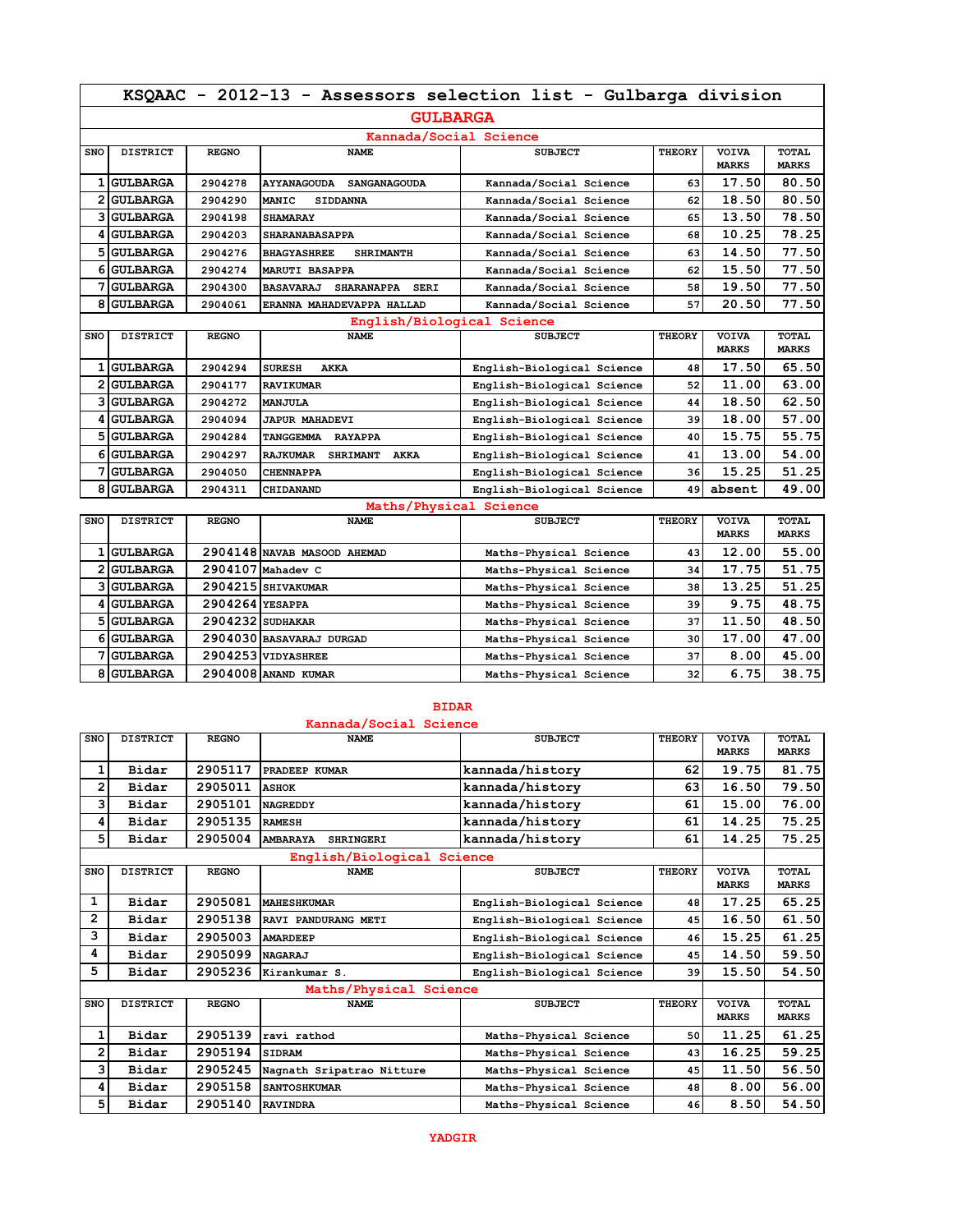|            | KSQAAC - 2012-13 - Assessors selection list - Gulbarga division |              |                                                      |                            |               |                              |                              |  |
|------------|-----------------------------------------------------------------|--------------|------------------------------------------------------|----------------------------|---------------|------------------------------|------------------------------|--|
|            | <b>GULBARGA</b>                                                 |              |                                                      |                            |               |                              |                              |  |
|            |                                                                 |              | Kannada/Social Science                               |                            |               |                              |                              |  |
| SNO        | <b>DISTRICT</b>                                                 | <b>REGNO</b> | <b>NAME</b>                                          | <b>SUBJECT</b>             | <b>THEORY</b> | <b>VOIVA</b><br><b>MARKS</b> | <b>TOTAL</b><br><b>MARKS</b> |  |
|            | 1 GULBARGA                                                      | 2904278      | <b>AYYANAGOUDA</b><br><b>SANGANAGOUDA</b>            | Kannada/Social Science     | 63            | 17.50                        | 80.50                        |  |
|            | 2 GULBARGA                                                      | 2904290      | <b>MANIC</b><br><b>SIDDANNA</b>                      | Kannada/Social Science     | 62            | 18.50                        | 80.50                        |  |
|            | <b>3 GULBARGA</b>                                               | 2904198      | <b>SHAMARAY</b>                                      | Kannada/Social Science     | 65            | 13.50                        | 78.50                        |  |
|            | 4 GULBARGA                                                      | 2904203      | <b>SHARANABASAPPA</b>                                | Kannada/Social Science     | 68            | 10.25                        | 78.25                        |  |
|            | 5 GULBARGA                                                      | 2904276      | <b>BHAGYASHREE</b><br><b>SHRIMANTH</b>               | Kannada/Social Science     | 63            | 14.50                        | 77.50                        |  |
|            | 6 GULBARGA                                                      | 2904274      | <b>MARUTI BASAPPA</b>                                | Kannada/Social Science     | 62            | 15.50                        | 77.50                        |  |
|            | 7 GULBARGA                                                      | 2904300      | <b>BASAVARAJ</b><br><b>SHARANAPPA</b><br><b>SERI</b> | Kannada/Social Science     | 58            | 19.50                        | 77.50                        |  |
|            | 8 GULBARGA                                                      | 2904061      | ERANNA MAHADEVAPPA HALLAD                            | Kannada/Social Science     | 57            | 20.50                        | 77.50                        |  |
|            |                                                                 |              | English/Biological Science                           |                            |               |                              |                              |  |
| <b>SNO</b> | <b>DISTRICT</b>                                                 | <b>REGNO</b> | <b>NAME</b>                                          | <b>SUBJECT</b>             | <b>THEORY</b> | <b>VOIVA</b><br><b>MARKS</b> | <b>TOTAL</b><br><b>MARKS</b> |  |
|            | 1 GULBARGA                                                      | 2904294      | <b>SURESH</b><br><b>AKKA</b>                         | English-Biological Science | 48            | 17.50                        | 65.50                        |  |
|            | 2 GULBARGA                                                      | 2904177      | <b>RAVIKUMAR</b>                                     | English-Biological Science | 52            | 11.00                        | 63.00                        |  |
|            | <b>3 GULBARGA</b>                                               | 2904272      | <b>MANJULA</b>                                       | English-Biological Science | 44            | 18.50                        | 62.50                        |  |
|            | 4 GULBARGA                                                      | 2904094      | <b>JAPUR MAHADEVI</b>                                | English-Biological Science | 39            | 18.00                        | 57.00                        |  |
|            | 5 GULBARGA                                                      | 2904284      | TANGGEMMA<br><b>RAYAPPA</b>                          | English-Biological Science | 40            | 15.75                        | 55.75                        |  |
|            | <b>6 GULBARGA</b>                                               | 2904297      | <b>RAJKUMAR</b><br><b>SHRIMANT</b><br>AKKA           | English-Biological Science | 41            | 13.00                        | 54.00                        |  |
|            | 7 GULBARGA                                                      | 2904050      | <b>CHENNAPPA</b>                                     | English-Biological Science | 36            | 15.25                        | 51.25                        |  |
|            | 8 GULBARGA                                                      | 2904311      | CHIDANAND                                            | English-Biological Science | 49            | absent                       | 49.00                        |  |
|            |                                                                 |              | Maths/Physical Science                               |                            |               |                              |                              |  |

| SNO | <b>DISTRICT</b> | <b>REGNO</b>    | <b>NAME</b>                 | <b>SUBJECT</b>         | <b>THEORY</b> | <b>VOIVA</b> | <b>TOTAL</b> |
|-----|-----------------|-----------------|-----------------------------|------------------------|---------------|--------------|--------------|
|     |                 |                 |                             |                        |               | <b>MARKS</b> | <b>MARKS</b> |
|     | 1 GULBARGA      |                 | 2904148 NAVAB MASOOD AHEMAD | Maths-Physical Science | 43            | 12.00        | 55.00        |
|     | 2 GULBARGA      |                 | 2904107 Mahadev C           | Maths-Physical Science | 34            | 17.75        | 51.75        |
|     | 3 GULBARGA      |                 | 2904215 SHIVAKUMAR          | Maths-Physical Science | 38            | 13.25        | 51.25        |
|     | 4 GULBARGA      | 2904264 YESAPPA |                             | Maths-Physical Science | 39            | 9.75         | 48.75        |
|     | 5 GULBARGA      |                 | 2904232 SUDHAKAR            | Maths-Physical Science | 37            | 11.50        | 48.50        |
|     | 6 GULBARGA      |                 | 2904030 BASAVARAJ DURGAD    | Maths-Physical Science | 30            | 17.00        | 47.00        |
|     | 7 GULBARGA      |                 | 2904253 VIDYASHREE          | Maths-Physical Science | 37            | 8.00         | 45.00        |
|     | 8 GULBARGA      |                 | 2904008 ANAND KUMAR         | Maths-Physical Science | 32            | 6.75         | 38.75        |

## **BIDAR**

|                | Kannada/Social Science |              |                                     |                            |               |                              |                              |  |
|----------------|------------------------|--------------|-------------------------------------|----------------------------|---------------|------------------------------|------------------------------|--|
| <b>SNO</b>     | <b>DISTRICT</b>        | <b>REGNO</b> | <b>NAME</b>                         | <b>SUBJECT</b>             | <b>THEORY</b> | <b>VOIVA</b><br><b>MARKS</b> | <b>TOTAL</b><br><b>MARKS</b> |  |
|                |                        |              |                                     |                            |               |                              |                              |  |
| 1              | Bidar                  | 2905117      | PRADEEP KUMAR                       | kannada/history            | 62            | 19.75                        | 81.75                        |  |
| $\overline{2}$ | Bidar                  | 2905011      | <b>ASHOK</b>                        | kannada/history            | 63            | 16.50                        | 79.50                        |  |
| 3              | Bidar                  | 2905101      | <b>NAGREDDY</b>                     | kannada/history            | 61            | 15.00                        | 76.00                        |  |
| 4              | Bidar                  | 2905135      | <b>RAMESH</b>                       | kannada/history            | 61            | 14.25                        | 75.25                        |  |
| 5              | Bidar                  | 2905004      | <b>AMBARAYA</b><br><b>SHRINGERI</b> | kannada/history            | 61            | 14.25                        | 75.25                        |  |
|                |                        |              | English/Biological Science          |                            |               |                              |                              |  |
| SNO            | <b>DISTRICT</b>        | <b>REGNO</b> | <b>NAME</b>                         | <b>SUBJECT</b>             | THEORY        | <b>VOIVA</b>                 | TOTAL                        |  |
|                |                        |              |                                     |                            |               | <b>MARKS</b>                 | <b>MARKS</b>                 |  |
| 1              | Bidar                  | 2905081      | <b>MAHESHKUMAR</b>                  | English-Biological Science | 48            | 17.25                        | 65.25                        |  |
| 2              | Bidar                  | 2905138      | RAVI PANDURANG METI                 | English-Biological Science | 45            | 16.50                        | 61.50                        |  |
| 3              | Bidar                  | 2905003      | <b>AMARDEEP</b>                     | English-Biological Science | 46            | 15.25                        | 61.25                        |  |
| 4              | Bidar                  | 2905099      | <b>NAGARAJ</b>                      | English-Biological Science | 45            | 14.50                        | 59.50                        |  |
| 5              | Bidar                  | 2905236      | Kirankumar S.                       | English-Biological Science | 39            | 15.50                        | 54.50                        |  |
|                |                        |              | Maths/Physical Science              |                            |               |                              |                              |  |
| <b>SNO</b>     | <b>DISTRICT</b>        | <b>REGNO</b> | <b>NAME</b>                         | <b>SUBJECT</b>             | THEORY        | <b>VOIVA</b>                 | TOTAL                        |  |
|                |                        |              |                                     |                            |               | <b>MARKS</b>                 | <b>MARKS</b>                 |  |
| 1              | Bidar                  | 2905139      | ravi rathod                         | Maths-Physical Science     | 50            | 11.25                        | 61.25                        |  |
| 2              | Bidar                  | 2905194      | <b>SIDRAM</b>                       | Maths-Physical Science     | 43            | 16.25                        | 59.25                        |  |
| 3              | Bidar                  | 2905245      | Nagnath Sripatrao Nitture           | Maths-Physical Science     | 45            | 11.50                        | 56.50                        |  |
| 4              | Bidar                  | 2905158      | <b>SANTOSHKUMAR</b>                 | Maths-Physical Science     | 48            | 8.00                         | 56.00                        |  |
| 5              | Bidar                  | 2905140      | <b>RAVINDRA</b>                     | Maths-Physical Science     | 46            | 8.50                         | 54.50                        |  |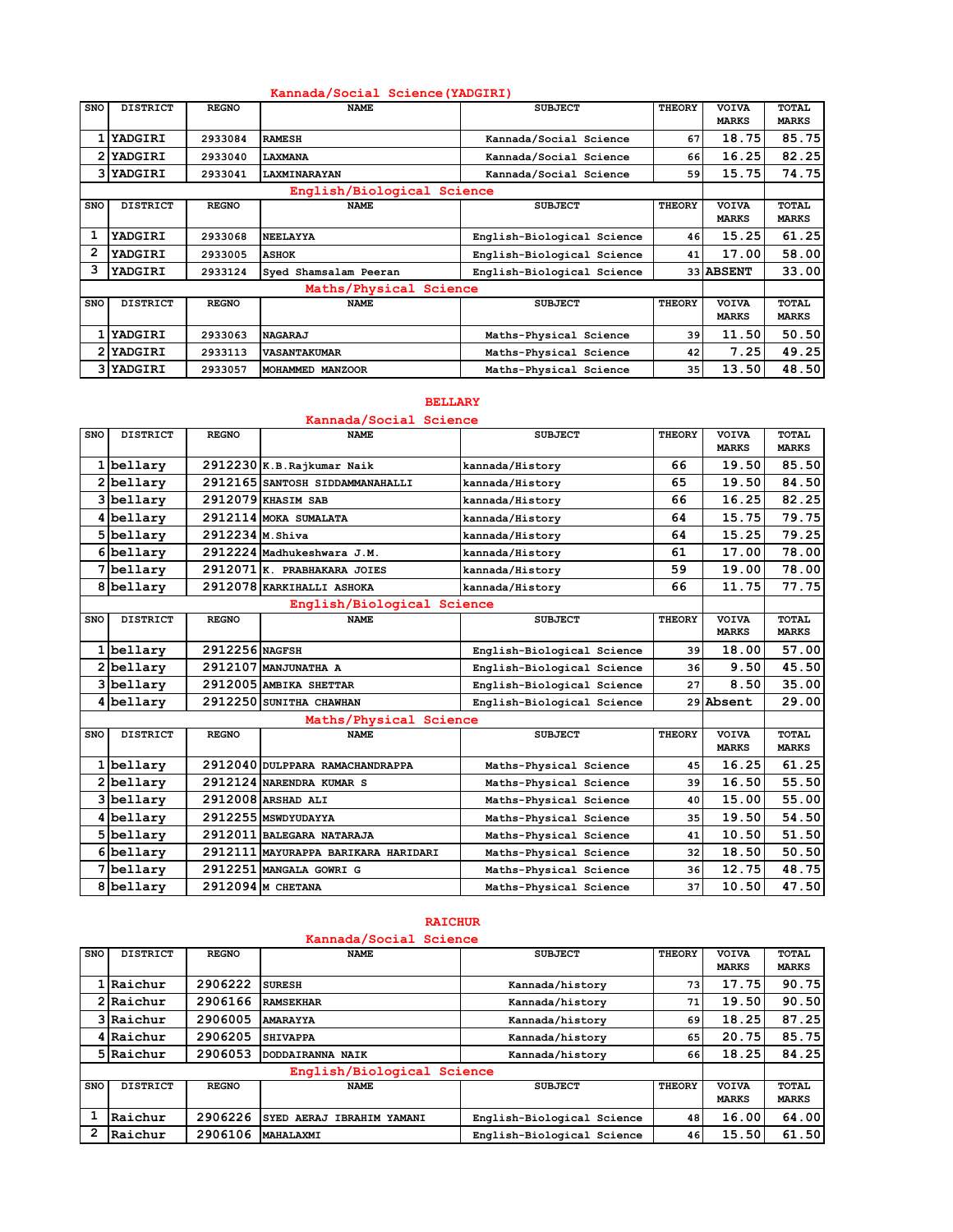|                            | Kannada/Social Science (YADGIRI) |              |                        |                            |               |                              |                              |  |
|----------------------------|----------------------------------|--------------|------------------------|----------------------------|---------------|------------------------------|------------------------------|--|
| <b>SNO</b>                 | <b>DISTRICT</b>                  | <b>REGNO</b> | <b>NAME</b>            | <b>SUBJECT</b>             | THEORY        | <b>VOIVA</b><br><b>MARKS</b> | <b>TOTAL</b><br><b>MARKS</b> |  |
|                            | <b>YADGIRI</b>                   | 2933084      | <b>RAMESH</b>          | Kannada/Social Science     | 67            | 18.75                        | 85.75                        |  |
|                            | 2 YADGIRI                        | 2933040      | LAXMANA                | Kannada/Social Science     | 66            | 16.25                        | 82.25                        |  |
|                            | 3 YADGIRI                        | 2933041      | LAXMINARAYAN           | Kannada/Social Science     | 59            | 15.75                        | 74.75                        |  |
| English/Biological Science |                                  |              |                        |                            |               |                              |                              |  |
| <b>SNO</b>                 | <b>DISTRICT</b>                  | <b>REGNO</b> | <b>NAME</b>            | <b>SUBJECT</b>             | THEORY        | <b>VOIVA</b><br><b>MARKS</b> | <b>TOTAL</b><br><b>MARKS</b> |  |
| 1                          | YADGIRI                          | 2933068      | <b>NEELAYYA</b>        | English-Biological Science | 46            | 15.25                        | 61.25                        |  |
| $\mathbf{2}$               | YADGIRI                          | 2933005      | <b>ASHOK</b>           | English-Biological Science | 41            | 17.00                        | 58.00                        |  |
| 3                          | YADGIRI                          | 2933124      | Syed Shamsalam Peeran  | English-Biological Science |               | <b>33 ABSENT</b>             | 33.00                        |  |
|                            |                                  |              | Maths/Physical Science |                            |               |                              |                              |  |
| <b>SNO</b>                 | <b>DISTRICT</b>                  | <b>REGNO</b> | <b>NAME</b>            | <b>SUBJECT</b>             | <b>THEORY</b> | <b>VOIVA</b><br><b>MARKS</b> | <b>TOTAL</b><br><b>MARKS</b> |  |
|                            | 1 YADGIRI                        | 2933063      | <b>NAGARAJ</b>         | Maths-Physical Science     | 39            | 11.50                        | 50.50                        |  |
|                            | 2 YADGIRI                        | 2933113      | <b>VASANTAKUMAR</b>    | Maths-Physical Science     | 42            | 7.25                         | 49.25                        |  |
|                            | 3 YADGIRI                        | 2933057      | MOHAMMED MANZOOR       | Maths-Physical Science     | 35            | 13.50                        | 48.50                        |  |

#### **BELLARY**

|                            | Kannada/Social Science |                  |                                     |                            |               |                              |                              |  |  |  |
|----------------------------|------------------------|------------------|-------------------------------------|----------------------------|---------------|------------------------------|------------------------------|--|--|--|
| SNO                        | <b>DISTRICT</b>        | <b>REGNO</b>     | <b>NAME</b>                         | <b>SUBJECT</b>             | <b>THEORY</b> | <b>VOIVA</b><br><b>MARKS</b> | <b>TOTAL</b><br><b>MARKS</b> |  |  |  |
|                            | 1 bellary              |                  | 2912230 K.B.Rajkumar Naik           | kannada/History            | 66            | 19.50                        | 85.50                        |  |  |  |
|                            | 2bellary               |                  | 2912165 SANTOSH SIDDAMMANAHALLI     | kannada/History            | 65            | 19.50                        | 84.50                        |  |  |  |
|                            | 3bellary               |                  | 2912079 KHASIM SAB                  | kannada/History            | 66            | 16.25                        | 82.25                        |  |  |  |
|                            | 4 bellary              |                  | 2912114 MOKA SUMALATA               | kannada/History            | 64            | 15.75                        | 79.75                        |  |  |  |
|                            | 5 bellary              | 2912234 M. Shiva |                                     | kannada/History            | 64            | 15.25                        | 79.25                        |  |  |  |
|                            | 6bellary               |                  | 2912224 Madhukeshwara J.M.          | kannada/History            | 61            | 17.00                        | 78.00                        |  |  |  |
|                            | 7 bellary              |                  | 2912071 K. PRABHAKARA JOIES         | kannada/History            | 59            | 19.00                        | 78.00                        |  |  |  |
|                            | 8 bellary              |                  | 2912078 KARKIHALLI ASHOKA           | kannada/History            | 66            | 11.75                        | 77.75                        |  |  |  |
| English/Biological Science |                        |                  |                                     |                            |               |                              |                              |  |  |  |
| <b>SNO</b>                 | <b>DISTRICT</b>        | <b>REGNO</b>     | <b>NAME</b>                         | <b>SUBJECT</b>             | <b>THEORY</b> | <b>VOIVA</b><br><b>MARKS</b> | TOTAL<br><b>MARKS</b>        |  |  |  |
|                            | 1bellary               | 2912256 NAGFSH   |                                     | English-Biological Science | 39            | 18.00                        | 57.00                        |  |  |  |
|                            | 2 bellary              |                  | 2912107 MANJUNATHA A                | English-Biological Science | 36            | 9.50                         | 45.50                        |  |  |  |
|                            | 3 bellary              |                  | 2912005 AMBIKA SHETTAR              | English-Biological Science | 27            | 8.50                         | 35.00                        |  |  |  |
|                            | 4 bellary              |                  | 2912250 SUNITHA CHAWHAN             | English-Biological Science |               | 29 Absent                    | 29.00                        |  |  |  |
|                            |                        |                  | Maths/Physical Science              |                            |               |                              |                              |  |  |  |
| <b>SNO</b>                 | <b>DISTRICT</b>        | <b>REGNO</b>     | <b>NAME</b>                         | <b>SUBJECT</b>             | <b>THEORY</b> | <b>VOIVA</b><br><b>MARKS</b> | TOTAL<br><b>MARKS</b>        |  |  |  |
|                            | 1 bellary              |                  | 2912040 DULPPARA RAMACHANDRAPPA     | Maths-Physical Science     | 45            | 16.25                        | 61.25                        |  |  |  |
|                            | 2 bellary              |                  | 2912124 NARENDRA KUMAR S            | Maths-Physical Science     | 39            | 16.50                        | 55.50                        |  |  |  |
|                            | 3bellary               |                  | 2912008 ARSHAD ALI                  | Maths-Physical Science     | 40            | 15.00                        | 55.00                        |  |  |  |
|                            | 4 bellary              |                  | 2912255 MSWDYUDAYYA                 | Maths-Physical Science     | 35            | 19.50                        | 54.50                        |  |  |  |
|                            | 5 bellary              |                  | 2912011 BALEGARA NATARAJA           | Maths-Physical Science     | 41            | 10.50                        | 51.50                        |  |  |  |
|                            | 6bellary               |                  | 2912111 MAYURAPPA BARIKARA HARIDARI | Maths-Physical Science     | 32            | 18.50                        | 50.50                        |  |  |  |
|                            | 7bellary               |                  | 2912251 MANGALA GOWRI G             | Maths-Physical Science     | 36            | 12.75                        | 48.75                        |  |  |  |
|                            | 8 bellary              |                  | 2912094 М СНЕТАНА                   | Maths-Physical Science     | 37            | 10.50                        | 47.50                        |  |  |  |

# **RAICHUR**

### **Kannada/Social Science**

| <b>SNO</b> | <b>DISTRICT</b>            | <b>REGNO</b> | <b>NAME</b>               | <b>SUBJECT</b>             | <b>THEORY</b> | <b>VOIVA</b><br><b>MARKS</b> | <b>TOTAL</b><br><b>MARKS</b> |
|------------|----------------------------|--------------|---------------------------|----------------------------|---------------|------------------------------|------------------------------|
|            | Raichur                    | 2906222      | <b>SURESH</b>             | Kannada/history            | 73            | 17.75                        | 90.75                        |
|            | 2 Raichur                  | 2906166      | <b>RAMSEKHAR</b>          | Kannada/history            | 71            | 19.50                        | 90.50                        |
|            | 3 Raichur                  | 2906005      | <b>AMARAYYA</b>           | Kannada/history            | 69            | 18.25                        | 87.25                        |
|            | 4 Raichur                  | 2906205      | <b>SHIVAPPA</b>           | Kannada/history            | 65            | 20.75                        | 85.75                        |
|            | 5 Raichur                  | 2906053      | DODDAIRANNA NAIK          | Kannada/history            | 66            | 18.25                        | 84.25                        |
|            | English/Biological Science |              |                           |                            |               |                              |                              |
| <b>SNO</b> | <b>DISTRICT</b>            | <b>REGNO</b> | <b>NAME</b>               | <b>SUBJECT</b>             | <b>THEORY</b> | <b>VOIVA</b><br><b>MARKS</b> | <b>TOTAL</b><br><b>MARKS</b> |
|            | Raichur                    | 2906226      | SYED AERAJ IBRAHIM YAMANI | English-Biological Science | 48            | 16.00                        | 64.00                        |
| 2          | Raichur                    | 2906106      | MAHALAXMI                 | English-Biological Science | 46            | 15.50                        | 61.50                        |